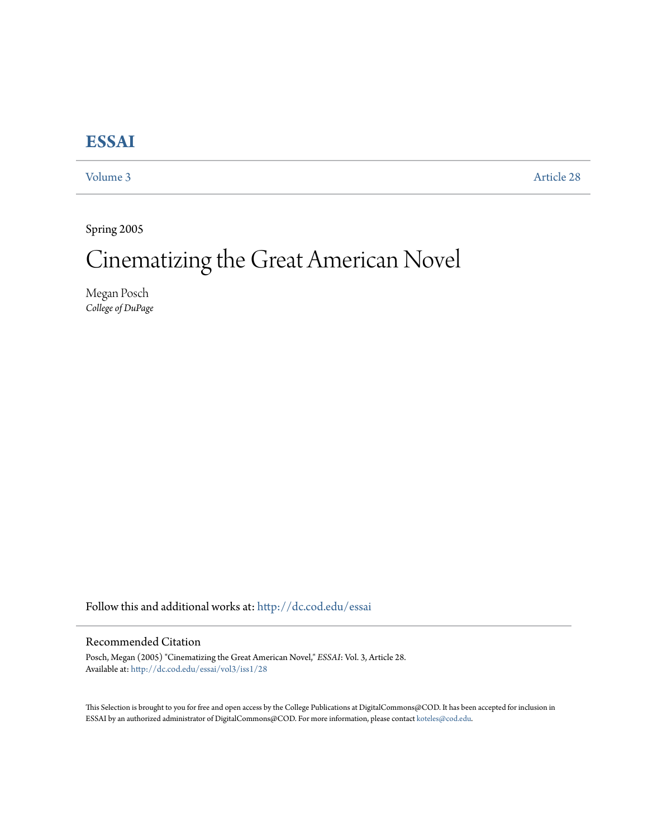## **[ESSAI](http://dc.cod.edu/essai?utm_source=dc.cod.edu%2Fessai%2Fvol3%2Fiss1%2F28&utm_medium=PDF&utm_campaign=PDFCoverPages)**

[Volume 3](http://dc.cod.edu/essai/vol3?utm_source=dc.cod.edu%2Fessai%2Fvol3%2Fiss1%2F28&utm_medium=PDF&utm_campaign=PDFCoverPages) [Article 28](http://dc.cod.edu/essai/vol3/iss1/28?utm_source=dc.cod.edu%2Fessai%2Fvol3%2Fiss1%2F28&utm_medium=PDF&utm_campaign=PDFCoverPages)

Spring 2005

## Cinematizing the Great American Novel

Megan Posch *College of DuPage*

Follow this and additional works at: [http://dc.cod.edu/essai](http://dc.cod.edu/essai?utm_source=dc.cod.edu%2Fessai%2Fvol3%2Fiss1%2F28&utm_medium=PDF&utm_campaign=PDFCoverPages)

## Recommended Citation

Posch, Megan (2005) "Cinematizing the Great American Novel," *ESSAI*: Vol. 3, Article 28. Available at: [http://dc.cod.edu/essai/vol3/iss1/28](http://dc.cod.edu/essai/vol3/iss1/28?utm_source=dc.cod.edu%2Fessai%2Fvol3%2Fiss1%2F28&utm_medium=PDF&utm_campaign=PDFCoverPages)

This Selection is brought to you for free and open access by the College Publications at DigitalCommons@COD. It has been accepted for inclusion in ESSAI by an authorized administrator of DigitalCommons@COD. For more information, please contact [koteles@cod.edu](mailto:koteles@cod.edu).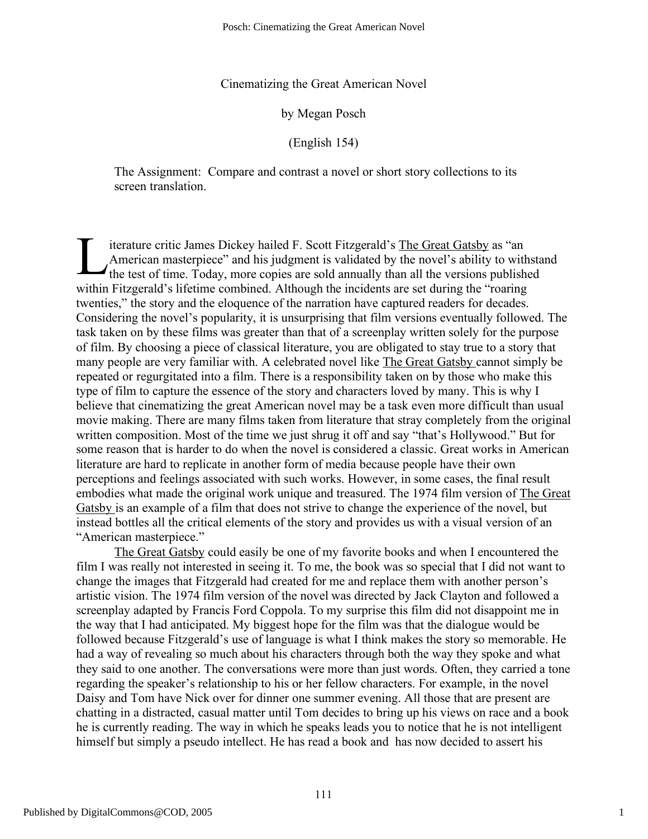Cinematizing the Great American Novel

by Megan Posch

(English 154)

The Assignment: Compare and contrast a novel or short story collections to its screen translation.

iterature critic James Dickey hailed F. Scott Fitzgerald's The Great Gatsby as "an American masterpiece" and his judgment is validated by the novel's ability to withstand the test of time. Today, more copies are sold annually than all the versions published within Fitzgerald's lifetime combined. Although the incidents are set during the "roaring twenties," the story and the eloquence of the narration have captured readers for decades. Considering the novel's popularity, it is unsurprising that film versions eventually followed. The task taken on by these films was greater than that of a screenplay written solely for the purpose of film. By choosing a piece of classical literature, you are obligated to stay true to a story that many people are very familiar with. A celebrated novel like The Great Gatsby cannot simply be repeated or regurgitated into a film. There is a responsibility taken on by those who make this type of film to capture the essence of the story and characters loved by many. This is why I believe that cinematizing the great American novel may be a task even more difficult than usual movie making. There are many films taken from literature that stray completely from the original written composition. Most of the time we just shrug it off and say "that's Hollywood." But for some reason that is harder to do when the novel is considered a classic. Great works in American literature are hard to replicate in another form of media because people have their own perceptions and feelings associated with such works. However, in some cases, the final result embodies what made the original work unique and treasured. The 1974 film version of The Great Gatsby is an example of a film that does not strive to change the experience of the novel, but instead bottles all the critical elements of the story and provides us with a visual version of an "American masterpiece." L

The Great Gatsby could easily be one of my favorite books and when I encountered the film I was really not interested in seeing it. To me, the book was so special that I did not want to change the images that Fitzgerald had created for me and replace them with another person's artistic vision. The 1974 film version of the novel was directed by Jack Clayton and followed a screenplay adapted by Francis Ford Coppola. To my surprise this film did not disappoint me in the way that I had anticipated. My biggest hope for the film was that the dialogue would be followed because Fitzgerald's use of language is what I think makes the story so memorable. He had a way of revealing so much about his characters through both the way they spoke and what they said to one another. The conversations were more than just words. Often, they carried a tone regarding the speaker's relationship to his or her fellow characters. For example, in the novel Daisy and Tom have Nick over for dinner one summer evening. All those that are present are chatting in a distracted, casual matter until Tom decides to bring up his views on race and a book he is currently reading. The way in which he speaks leads you to notice that he is not intelligent himself but simply a pseudo intellect. He has read a book and has now decided to assert his

1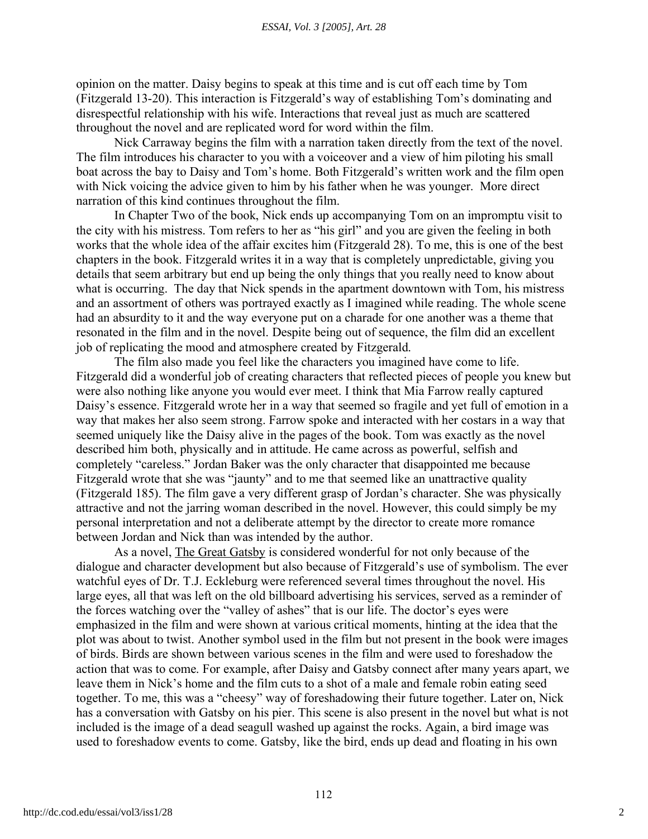opinion on the matter. Daisy begins to speak at this time and is cut off each time by Tom (Fitzgerald 13-20). This interaction is Fitzgerald's way of establishing Tom's dominating and disrespectful relationship with his wife. Interactions that reveal just as much are scattered throughout the novel and are replicated word for word within the film.

Nick Carraway begins the film with a narration taken directly from the text of the novel. The film introduces his character to you with a voiceover and a view of him piloting his small boat across the bay to Daisy and Tom's home. Both Fitzgerald's written work and the film open with Nick voicing the advice given to him by his father when he was younger. More direct narration of this kind continues throughout the film.

In Chapter Two of the book, Nick ends up accompanying Tom on an impromptu visit to the city with his mistress. Tom refers to her as "his girl" and you are given the feeling in both works that the whole idea of the affair excites him (Fitzgerald 28). To me, this is one of the best chapters in the book. Fitzgerald writes it in a way that is completely unpredictable, giving you details that seem arbitrary but end up being the only things that you really need to know about what is occurring. The day that Nick spends in the apartment downtown with Tom, his mistress and an assortment of others was portrayed exactly as I imagined while reading. The whole scene had an absurdity to it and the way everyone put on a charade for one another was a theme that resonated in the film and in the novel. Despite being out of sequence, the film did an excellent job of replicating the mood and atmosphere created by Fitzgerald.

The film also made you feel like the characters you imagined have come to life. Fitzgerald did a wonderful job of creating characters that reflected pieces of people you knew but were also nothing like anyone you would ever meet. I think that Mia Farrow really captured Daisy's essence. Fitzgerald wrote her in a way that seemed so fragile and yet full of emotion in a way that makes her also seem strong. Farrow spoke and interacted with her costars in a way that seemed uniquely like the Daisy alive in the pages of the book. Tom was exactly as the novel described him both, physically and in attitude. He came across as powerful, selfish and completely "careless." Jordan Baker was the only character that disappointed me because Fitzgerald wrote that she was "jaunty" and to me that seemed like an unattractive quality (Fitzgerald 185). The film gave a very different grasp of Jordan's character. She was physically attractive and not the jarring woman described in the novel. However, this could simply be my personal interpretation and not a deliberate attempt by the director to create more romance between Jordan and Nick than was intended by the author.

As a novel, The Great Gatsby is considered wonderful for not only because of the dialogue and character development but also because of Fitzgerald's use of symbolism. The ever watchful eyes of Dr. T.J. Eckleburg were referenced several times throughout the novel. His large eyes, all that was left on the old billboard advertising his services, served as a reminder of the forces watching over the "valley of ashes" that is our life. The doctor's eyes were emphasized in the film and were shown at various critical moments, hinting at the idea that the plot was about to twist. Another symbol used in the film but not present in the book were images of birds. Birds are shown between various scenes in the film and were used to foreshadow the action that was to come. For example, after Daisy and Gatsby connect after many years apart, we leave them in Nick's home and the film cuts to a shot of a male and female robin eating seed together. To me, this was a "cheesy" way of foreshadowing their future together. Later on, Nick has a conversation with Gatsby on his pier. This scene is also present in the novel but what is not included is the image of a dead seagull washed up against the rocks. Again, a bird image was used to foreshadow events to come. Gatsby, like the bird, ends up dead and floating in his own